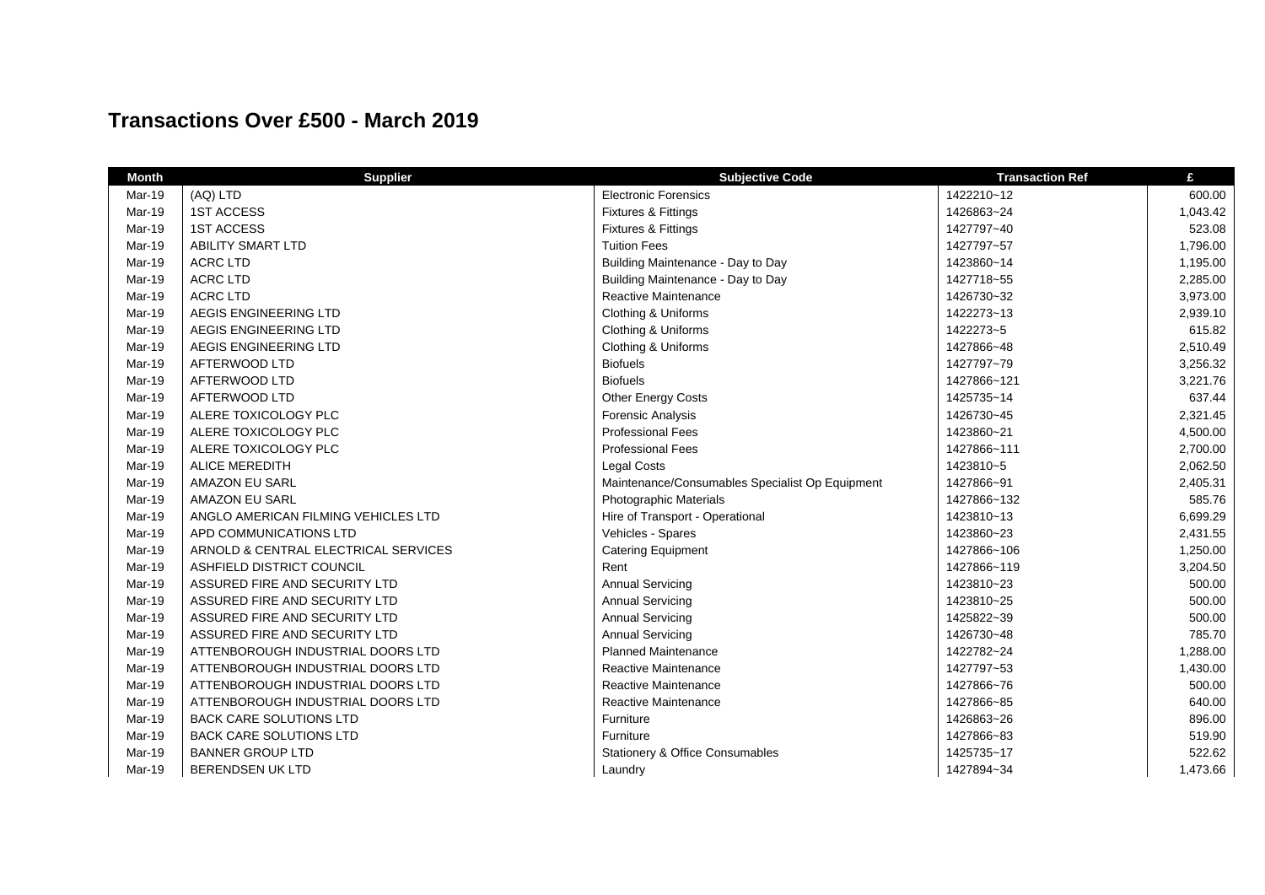## **Transactions Over £500 - March 2019**

| <b>Month</b> | <b>Supplier</b>                      | <b>Subjective Code</b>                          | <b>Transaction Ref</b> | £        |
|--------------|--------------------------------------|-------------------------------------------------|------------------------|----------|
| Mar-19       | (AQ) LTD                             | <b>Electronic Forensics</b>                     | 1422210~12             | 600.00   |
| Mar-19       | <b>1ST ACCESS</b>                    | Fixtures & Fittings                             | 1426863~24             | 1,043.42 |
| Mar-19       | <b>1ST ACCESS</b>                    | Fixtures & Fittings                             | 1427797~40             | 523.08   |
| Mar-19       | <b>ABILITY SMART LTD</b>             | <b>Tuition Fees</b>                             | 1427797~57             | 1,796.00 |
| Mar-19       | <b>ACRC LTD</b>                      | Building Maintenance - Day to Day               | 1423860~14             | 1,195.00 |
| Mar-19       | <b>ACRC LTD</b>                      | Building Maintenance - Day to Day               | 1427718~55             | 2,285.00 |
| Mar-19       | <b>ACRC LTD</b>                      | Reactive Maintenance                            | 1426730~32             | 3,973.00 |
| Mar-19       | AEGIS ENGINEERING LTD                | Clothing & Uniforms                             | 1422273~13             | 2,939.10 |
| Mar-19       | AEGIS ENGINEERING LTD                | Clothing & Uniforms                             | 1422273~5              | 615.82   |
| Mar-19       | AEGIS ENGINEERING LTD                | Clothing & Uniforms                             | 1427866~48             | 2,510.49 |
| Mar-19       | AFTERWOOD LTD                        | <b>Biofuels</b>                                 | 1427797~79             | 3,256.32 |
| Mar-19       | AFTERWOOD LTD                        | <b>Biofuels</b>                                 | 1427866~121            | 3,221.76 |
| Mar-19       | AFTERWOOD LTD                        | <b>Other Energy Costs</b>                       | 1425735~14             | 637.44   |
| Mar-19       | ALERE TOXICOLOGY PLC                 | Forensic Analysis                               | 1426730~45             | 2,321.45 |
| Mar-19       | ALERE TOXICOLOGY PLC                 | <b>Professional Fees</b>                        | 1423860~21             | 4,500.00 |
| Mar-19       | ALERE TOXICOLOGY PLC                 | <b>Professional Fees</b>                        | 1427866~111            | 2,700.00 |
| Mar-19       | <b>ALICE MEREDITH</b>                | <b>Legal Costs</b>                              | 1423810~5              | 2,062.50 |
| Mar-19       | <b>AMAZON EU SARL</b>                | Maintenance/Consumables Specialist Op Equipment | 1427866~91             | 2,405.31 |
| Mar-19       | <b>AMAZON EU SARL</b>                | Photographic Materials                          | 1427866~132            | 585.76   |
| Mar-19       | ANGLO AMERICAN FILMING VEHICLES LTD  | Hire of Transport - Operational                 | 1423810~13             | 6,699.29 |
| Mar-19       | APD COMMUNICATIONS LTD               | Vehicles - Spares                               | 1423860~23             | 2,431.55 |
| Mar-19       | ARNOLD & CENTRAL ELECTRICAL SERVICES | <b>Catering Equipment</b>                       | 1427866~106            | 1,250.00 |
| Mar-19       | ASHFIELD DISTRICT COUNCIL            | Rent                                            | 1427866~119            | 3,204.50 |
| Mar-19       | ASSURED FIRE AND SECURITY LTD        | <b>Annual Servicing</b>                         | 1423810~23             | 500.00   |
| Mar-19       | ASSURED FIRE AND SECURITY LTD        | <b>Annual Servicing</b>                         | 1423810~25             | 500.00   |
| Mar-19       | ASSURED FIRE AND SECURITY LTD        | <b>Annual Servicing</b>                         | 1425822~39             | 500.00   |
| Mar-19       | ASSURED FIRE AND SECURITY LTD        | <b>Annual Servicing</b>                         | 1426730~48             | 785.70   |
| Mar-19       | ATTENBOROUGH INDUSTRIAL DOORS LTD    | <b>Planned Maintenance</b>                      | 1422782~24             | 1,288.00 |
| Mar-19       | ATTENBOROUGH INDUSTRIAL DOORS LTD    | Reactive Maintenance                            | 1427797~53             | 1,430.00 |
| Mar-19       | ATTENBOROUGH INDUSTRIAL DOORS LTD    | Reactive Maintenance                            | 1427866~76             | 500.00   |
| Mar-19       | ATTENBOROUGH INDUSTRIAL DOORS LTD    | Reactive Maintenance                            | 1427866~85             | 640.00   |
| Mar-19       | <b>BACK CARE SOLUTIONS LTD</b>       | Furniture                                       | 1426863~26             | 896.00   |
| Mar-19       | <b>BACK CARE SOLUTIONS LTD</b>       | Furniture                                       | 1427866~83             | 519.90   |
| Mar-19       | <b>BANNER GROUP LTD</b>              | <b>Stationery &amp; Office Consumables</b>      | 1425735~17             | 522.62   |
| Mar-19       | <b>BERENDSEN UK LTD</b>              | Laundry                                         | 1427894~34             | 1,473.66 |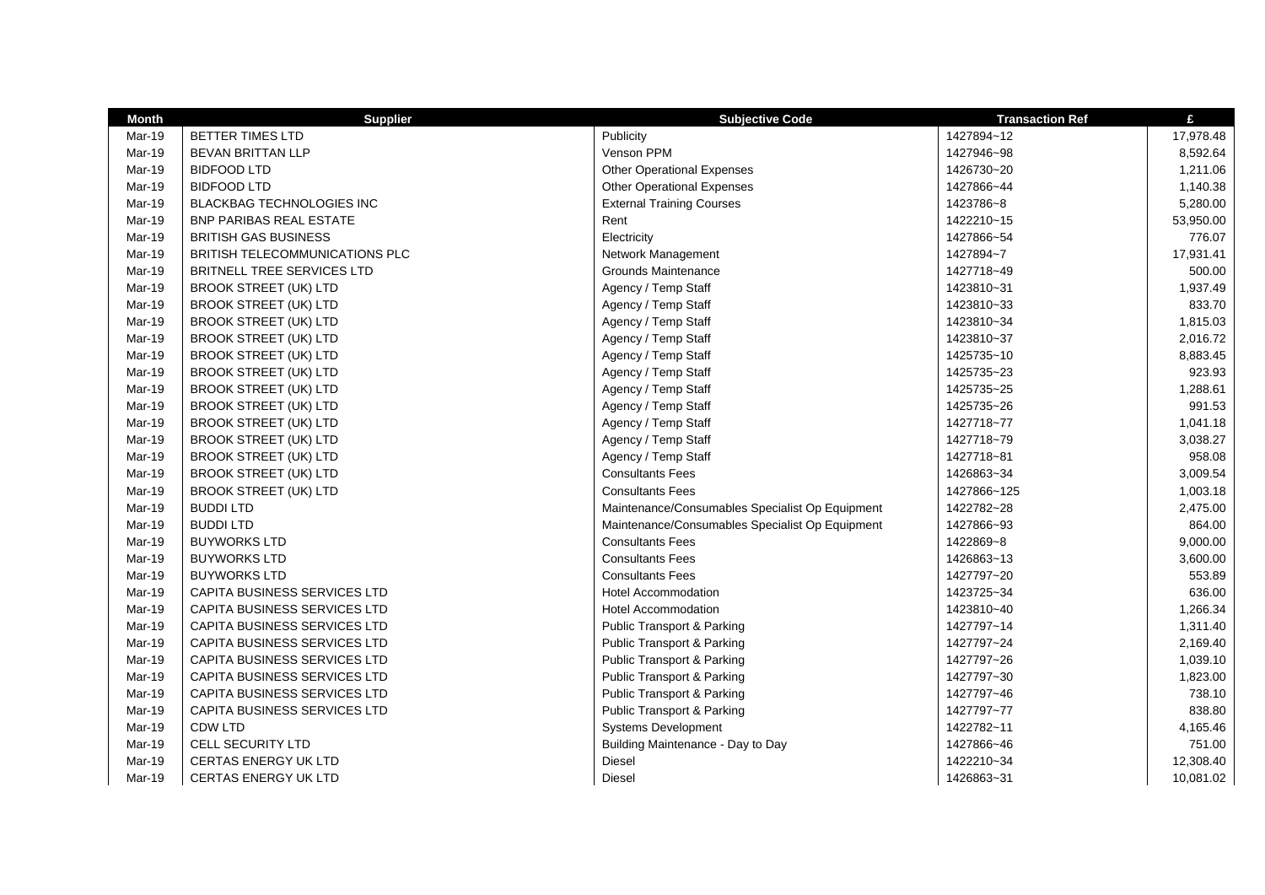| <b>Month</b> | <b>Supplier</b>                     | <b>Subjective Code</b>                          | <b>Transaction Ref</b> | £         |
|--------------|-------------------------------------|-------------------------------------------------|------------------------|-----------|
| Mar-19       | <b>BETTER TIMES LTD</b>             | Publicity                                       | 1427894~12             | 17,978.48 |
| Mar-19       | <b>BEVAN BRITTAN LLP</b>            | Venson PPM                                      | 1427946~98             | 8,592.64  |
| Mar-19       | <b>BIDFOOD LTD</b>                  | <b>Other Operational Expenses</b>               | 1426730~20             | 1,211.06  |
| Mar-19       | <b>BIDFOOD LTD</b>                  | <b>Other Operational Expenses</b>               | 1427866~44             | 1,140.38  |
| Mar-19       | <b>BLACKBAG TECHNOLOGIES INC</b>    | <b>External Training Courses</b>                | 1423786~8              | 5,280.00  |
| Mar-19       | <b>BNP PARIBAS REAL ESTATE</b>      | Rent                                            | 1422210~15             | 53,950.00 |
| Mar-19       | <b>BRITISH GAS BUSINESS</b>         | Electricity                                     | 1427866~54             | 776.07    |
| Mar-19       | BRITISH TELECOMMUNICATIONS PLC      | Network Management                              | 1427894~7              | 17,931.41 |
| Mar-19       | <b>BRITNELL TREE SERVICES LTD</b>   | Grounds Maintenance                             | 1427718~49             | 500.00    |
| Mar-19       | <b>BROOK STREET (UK) LTD</b>        | Agency / Temp Staff                             | 1423810~31             | 1,937.49  |
| Mar-19       | <b>BROOK STREET (UK) LTD</b>        | Agency / Temp Staff                             | 1423810~33             | 833.70    |
| Mar-19       | <b>BROOK STREET (UK) LTD</b>        | Agency / Temp Staff                             | 1423810~34             | 1,815.03  |
| Mar-19       | <b>BROOK STREET (UK) LTD</b>        | Agency / Temp Staff                             | 1423810~37             | 2,016.72  |
| Mar-19       | <b>BROOK STREET (UK) LTD</b>        | Agency / Temp Staff                             | 1425735~10             | 8,883.45  |
| Mar-19       | <b>BROOK STREET (UK) LTD</b>        | Agency / Temp Staff                             | 1425735~23             | 923.93    |
| Mar-19       | <b>BROOK STREET (UK) LTD</b>        | Agency / Temp Staff                             | 1425735~25             | 1,288.61  |
| Mar-19       | <b>BROOK STREET (UK) LTD</b>        | Agency / Temp Staff                             | 1425735~26             | 991.53    |
| Mar-19       | <b>BROOK STREET (UK) LTD</b>        | Agency / Temp Staff                             | 1427718~77             | 1,041.18  |
| Mar-19       | <b>BROOK STREET (UK) LTD</b>        | Agency / Temp Staff                             | 1427718~79             | 3,038.27  |
| Mar-19       | <b>BROOK STREET (UK) LTD</b>        | Agency / Temp Staff                             | 1427718~81             | 958.08    |
| Mar-19       | <b>BROOK STREET (UK) LTD</b>        | <b>Consultants Fees</b>                         | 1426863~34             | 3,009.54  |
| Mar-19       | <b>BROOK STREET (UK) LTD</b>        | <b>Consultants Fees</b>                         | 1427866~125            | 1,003.18  |
| Mar-19       | <b>BUDDILTD</b>                     | Maintenance/Consumables Specialist Op Equipment | 1422782~28             | 2,475.00  |
| Mar-19       | <b>BUDDI LTD</b>                    | Maintenance/Consumables Specialist Op Equipment | 1427866~93             | 864.00    |
| Mar-19       | <b>BUYWORKS LTD</b>                 | <b>Consultants Fees</b>                         | 1422869~8              | 9,000.00  |
| Mar-19       | <b>BUYWORKS LTD</b>                 | <b>Consultants Fees</b>                         | 1426863~13             | 3,600.00  |
| Mar-19       | <b>BUYWORKS LTD</b>                 | <b>Consultants Fees</b>                         | 1427797~20             | 553.89    |
| Mar-19       | CAPITA BUSINESS SERVICES LTD        | <b>Hotel Accommodation</b>                      | 1423725~34             | 636.00    |
| Mar-19       | <b>CAPITA BUSINESS SERVICES LTD</b> | <b>Hotel Accommodation</b>                      | 1423810~40             | 1.266.34  |
| Mar-19       | CAPITA BUSINESS SERVICES LTD        | Public Transport & Parking                      | 1427797~14             | 1,311.40  |
| Mar-19       | CAPITA BUSINESS SERVICES LTD        | <b>Public Transport &amp; Parking</b>           | 1427797~24             | 2,169.40  |
| Mar-19       | CAPITA BUSINESS SERVICES LTD        | Public Transport & Parking                      | 1427797~26             | 1,039.10  |
| Mar-19       | CAPITA BUSINESS SERVICES LTD        | <b>Public Transport &amp; Parking</b>           | 1427797~30             | 1,823.00  |
| Mar-19       | CAPITA BUSINESS SERVICES LTD        | <b>Public Transport &amp; Parking</b>           | 1427797~46             | 738.10    |
| Mar-19       | CAPITA BUSINESS SERVICES LTD        | <b>Public Transport &amp; Parking</b>           | 1427797~77             | 838.80    |
| Mar-19       | <b>CDW LTD</b>                      | Systems Development                             | 1422782~11             | 4,165.46  |
| Mar-19       | <b>CELL SECURITY LTD</b>            | Building Maintenance - Day to Day               | 1427866~46             | 751.00    |
| Mar-19       | <b>CERTAS ENERGY UK LTD</b>         | <b>Diesel</b>                                   | 1422210~34             | 12,308.40 |
| Mar-19       | <b>CERTAS ENERGY UK LTD</b>         | Diesel                                          | 1426863~31             | 10,081.02 |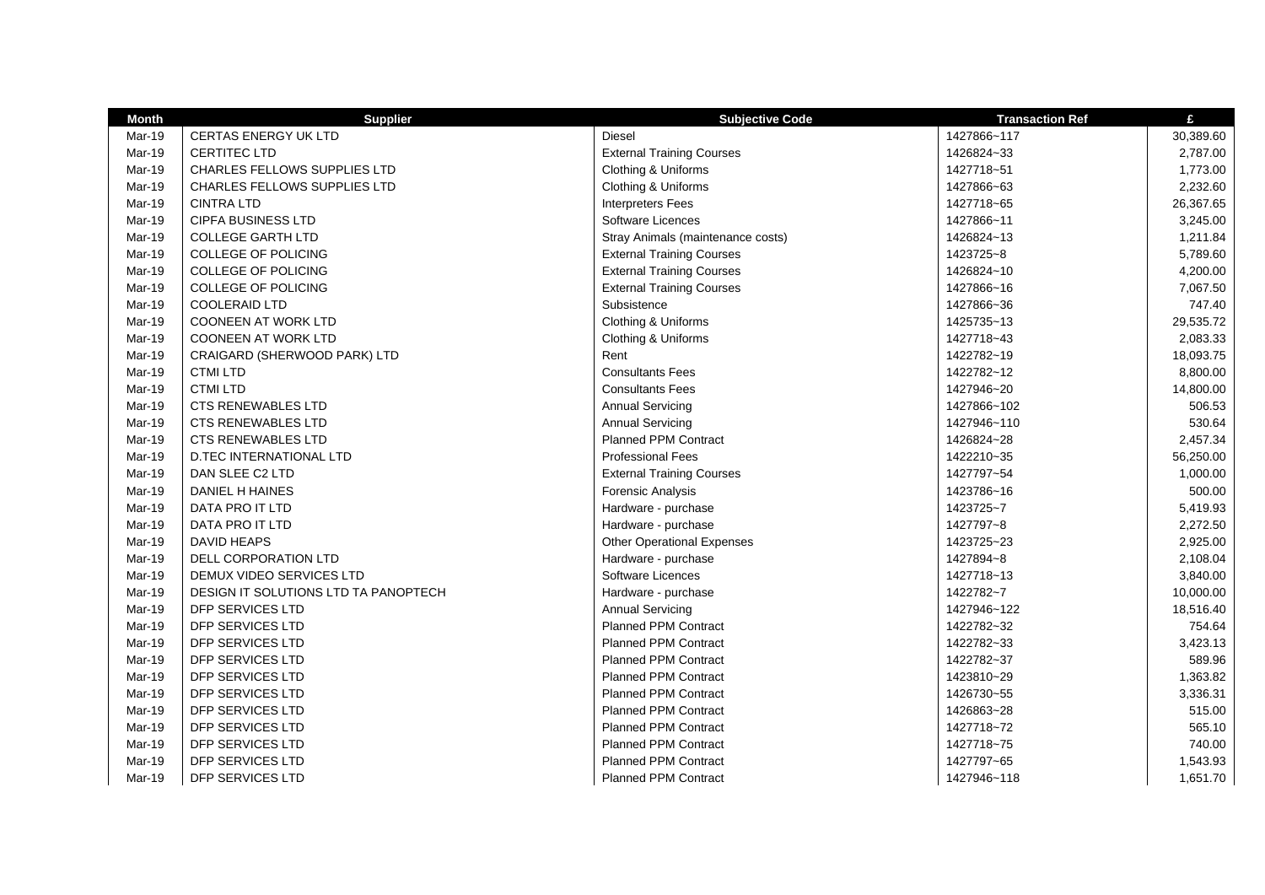| <b>Month</b> | <b>Supplier</b>                      | <b>Subjective Code</b>            | <b>Transaction Ref</b> | £         |
|--------------|--------------------------------------|-----------------------------------|------------------------|-----------|
| Mar-19       | <b>CERTAS ENERGY UK LTD</b>          | <b>Diesel</b>                     | 1427866~117            | 30,389.60 |
| Mar-19       | CERTITEC LTD                         | <b>External Training Courses</b>  | 1426824~33             | 2,787.00  |
| Mar-19       | <b>CHARLES FELLOWS SUPPLIES LTD</b>  | Clothing & Uniforms               | 1427718~51             | 1,773.00  |
| Mar-19       | CHARLES FELLOWS SUPPLIES LTD         | Clothing & Uniforms               | 1427866~63             | 2,232.60  |
| Mar-19       | <b>CINTRA LTD</b>                    | <b>Interpreters Fees</b>          | 1427718~65             | 26,367.65 |
| Mar-19       | <b>CIPFA BUSINESS LTD</b>            | Software Licences                 | 1427866~11             | 3,245.00  |
| Mar-19       | <b>COLLEGE GARTH LTD</b>             | Stray Animals (maintenance costs) | 1426824~13             | 1,211.84  |
| Mar-19       | <b>COLLEGE OF POLICING</b>           | <b>External Training Courses</b>  | 1423725~8              | 5,789.60  |
| Mar-19       | <b>COLLEGE OF POLICING</b>           | <b>External Training Courses</b>  | 1426824~10             | 4,200.00  |
| Mar-19       | <b>COLLEGE OF POLICING</b>           | <b>External Training Courses</b>  | 1427866~16             | 7,067.50  |
| Mar-19       | COOLERAID LTD                        | Subsistence                       | 1427866~36             | 747.40    |
| Mar-19       | <b>COONEEN AT WORK LTD</b>           | Clothing & Uniforms               | 1425735~13             | 29,535.72 |
| Mar-19       | <b>COONEEN AT WORK LTD</b>           | Clothing & Uniforms               | 1427718~43             | 2,083.33  |
| Mar-19       | CRAIGARD (SHERWOOD PARK) LTD         | Rent                              | 1422782~19             | 18,093.75 |
| Mar-19       | <b>CTMILTD</b>                       | <b>Consultants Fees</b>           | 1422782~12             | 8,800.00  |
| Mar-19       | <b>CTMI LTD</b>                      | <b>Consultants Fees</b>           | 1427946~20             | 14,800.00 |
| Mar-19       | <b>CTS RENEWABLES LTD</b>            | <b>Annual Servicing</b>           | 1427866~102            | 506.53    |
| Mar-19       | <b>CTS RENEWABLES LTD</b>            | <b>Annual Servicing</b>           | 1427946~110            | 530.64    |
| Mar-19       | <b>CTS RENEWABLES LTD</b>            | <b>Planned PPM Contract</b>       | 1426824~28             | 2,457.34  |
| Mar-19       | <b>D.TEC INTERNATIONAL LTD</b>       | <b>Professional Fees</b>          | 1422210~35             | 56,250.00 |
| Mar-19       | DAN SLEE C2 LTD                      | <b>External Training Courses</b>  | 1427797~54             | 1,000.00  |
| Mar-19       | DANIEL H HAINES                      | Forensic Analysis                 | 1423786~16             | 500.00    |
| Mar-19       | DATA PRO IT LTD                      | Hardware - purchase               | 1423725~7              | 5,419.93  |
| Mar-19       | DATA PRO IT LTD                      | Hardware - purchase               | 1427797~8              | 2,272.50  |
| Mar-19       | <b>DAVID HEAPS</b>                   | <b>Other Operational Expenses</b> | 1423725~23             | 2,925.00  |
| Mar-19       | DELL CORPORATION LTD                 | Hardware - purchase               | 1427894~8              | 2,108.04  |
| Mar-19       | DEMUX VIDEO SERVICES LTD             | Software Licences                 | 1427718~13             | 3,840.00  |
| Mar-19       | DESIGN IT SOLUTIONS LTD TA PANOPTECH | Hardware - purchase               | 1422782~7              | 10,000.00 |
| Mar-19       | <b>DFP SERVICES LTD</b>              | <b>Annual Servicing</b>           | 1427946~122            | 18,516.40 |
| Mar-19       | <b>DFP SERVICES LTD</b>              | <b>Planned PPM Contract</b>       | 1422782~32             | 754.64    |
| Mar-19       | <b>DFP SERVICES LTD</b>              | <b>Planned PPM Contract</b>       | 1422782~33             | 3,423.13  |
| Mar-19       | DFP SERVICES LTD                     | <b>Planned PPM Contract</b>       | 1422782~37             | 589.96    |
| Mar-19       | <b>DFP SERVICES LTD</b>              | <b>Planned PPM Contract</b>       | 1423810~29             | 1,363.82  |
| Mar-19       | <b>DFP SERVICES LTD</b>              | <b>Planned PPM Contract</b>       | 1426730~55             | 3,336.31  |
| Mar-19       | <b>DFP SERVICES LTD</b>              | <b>Planned PPM Contract</b>       | 1426863~28             | 515.00    |
| Mar-19       | <b>DFP SERVICES LTD</b>              | <b>Planned PPM Contract</b>       | 1427718~72             | 565.10    |
| Mar-19       | <b>DFP SERVICES LTD</b>              | <b>Planned PPM Contract</b>       | 1427718~75             | 740.00    |
| Mar-19       | <b>DFP SERVICES LTD</b>              | <b>Planned PPM Contract</b>       | 1427797~65             | 1,543.93  |
| Mar-19       | <b>DFP SERVICES LTD</b>              | <b>Planned PPM Contract</b>       | 1427946~118            | 1,651.70  |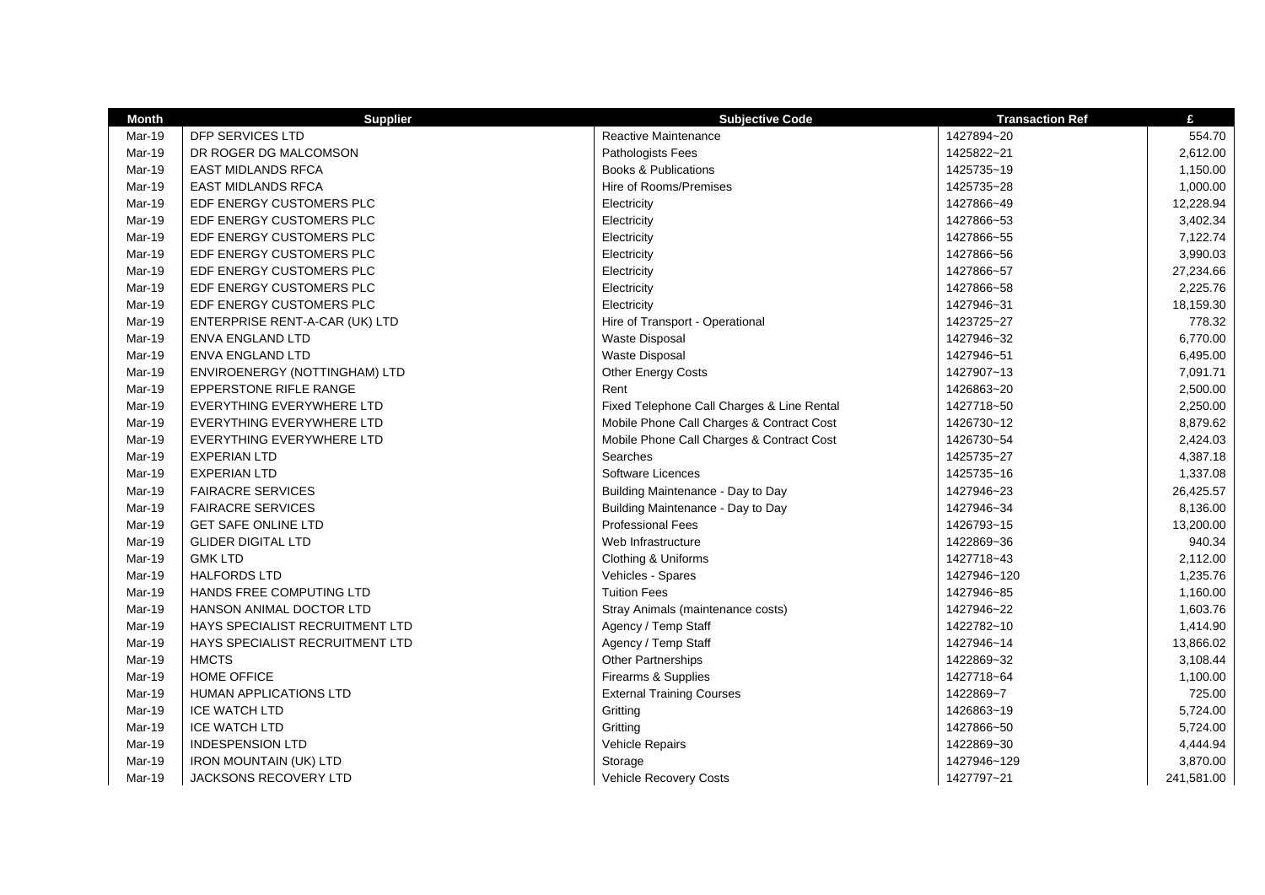| <b>Month</b>  | <b>Supplier</b>                 | <b>Subjective Code</b>                     | <b>Transaction Ref</b> | £          |
|---------------|---------------------------------|--------------------------------------------|------------------------|------------|
| Mar-19        | DFP SERVICES LTD                | Reactive Maintenance                       | 1427894~20             | 554.70     |
| Mar-19        | DR ROGER DG MALCOMSON           | Pathologists Fees                          | 1425822~21             | 2,612.00   |
| Mar-19        | <b>EAST MIDLANDS RFCA</b>       | <b>Books &amp; Publications</b>            | 1425735~19             | 1,150.00   |
| Mar-19        | <b>EAST MIDLANDS RFCA</b>       | Hire of Rooms/Premises                     | 1425735~28             | 1,000.00   |
| Mar-19        | EDF ENERGY CUSTOMERS PLC        | Electricity                                | 1427866~49             | 12,228.94  |
| Mar-19        | EDF ENERGY CUSTOMERS PLC        | Electricity                                | 1427866~53             | 3,402.34   |
| Mar-19        | EDF ENERGY CUSTOMERS PLC        | Electricity                                | 1427866~55             | 7,122.74   |
| Mar-19        | EDF ENERGY CUSTOMERS PLC        | Electricity                                | 1427866~56             | 3,990.03   |
| Mar-19        | EDF ENERGY CUSTOMERS PLC        | Electricity                                | 1427866~57             | 27,234.66  |
| Mar-19        | EDF ENERGY CUSTOMERS PLC        | Electricity                                | 1427866~58             | 2,225.76   |
| Mar-19        | EDF ENERGY CUSTOMERS PLC        | Electricity                                | 1427946~31             | 18,159.30  |
| Mar-19        | ENTERPRISE RENT-A-CAR (UK) LTD  | Hire of Transport - Operational            | 1423725~27             | 778.32     |
| Mar-19        | <b>ENVA ENGLAND LTD</b>         | Waste Disposal                             | 1427946~32             | 6,770.00   |
| Mar-19        | ENVA ENGLAND LTD                | Waste Disposal                             | 1427946~51             | 6,495.00   |
| Mar-19        | ENVIROENERGY (NOTTINGHAM) LTD   | Other Energy Costs                         | 1427907~13             | 7,091.71   |
| Mar-19        | <b>EPPERSTONE RIFLE RANGE</b>   | Rent                                       | 1426863~20             | 2,500.00   |
| Mar-19        | EVERYTHING EVERYWHERE LTD       | Fixed Telephone Call Charges & Line Rental | 1427718~50             | 2,250.00   |
| Mar-19        | EVERYTHING EVERYWHERE LTD       | Mobile Phone Call Charges & Contract Cost  | 1426730~12             | 8,879.62   |
| Mar-19        | EVERYTHING EVERYWHERE LTD       | Mobile Phone Call Charges & Contract Cost  | 1426730~54             | 2,424.03   |
| Mar-19        | <b>EXPERIAN LTD</b>             | Searches                                   | 1425735~27             | 4,387.18   |
| Mar-19        | <b>EXPERIAN LTD</b>             | Software Licences                          | 1425735~16             | 1,337.08   |
| Mar-19        | <b>FAIRACRE SERVICES</b>        | Building Maintenance - Day to Day          | 1427946~23             | 26,425.57  |
| Mar-19        | <b>FAIRACRE SERVICES</b>        | Building Maintenance - Day to Day          | 1427946~34             | 8,136.00   |
| Mar-19        | <b>GET SAFE ONLINE LTD</b>      | <b>Professional Fees</b>                   | 1426793~15             | 13,200.00  |
| Mar-19        | <b>GLIDER DIGITAL LTD</b>       | Web Infrastructure                         | 1422869~36             | 940.34     |
| Mar-19        | <b>GMK LTD</b>                  | Clothing & Uniforms                        | 1427718~43             | 2,112.00   |
| <b>Mar-19</b> | <b>HALFORDS LTD</b>             | Vehicles - Spares                          | 1427946~120            | 1,235.76   |
| Mar-19        | HANDS FREE COMPUTING LTD        | <b>Tuition Fees</b>                        | 1427946~85             | 1,160.00   |
| <b>Mar-19</b> | <b>HANSON ANIMAL DOCTOR LTD</b> | Stray Animals (maintenance costs)          | 1427946~22             | 1,603.76   |
| Mar-19        | HAYS SPECIALIST RECRUITMENT LTD | Agency / Temp Staff                        | 1422782~10             | 1,414.90   |
| Mar-19        | HAYS SPECIALIST RECRUITMENT LTD | Agency / Temp Staff                        | 1427946~14             | 13,866.02  |
| Mar-19        | <b>HMCTS</b>                    | Other Partnerships                         | 1422869~32             | 3,108.44   |
| Mar-19        | <b>HOME OFFICE</b>              | Firearms & Supplies                        | 1427718~64             | 1,100.00   |
| Mar-19        | HUMAN APPLICATIONS LTD          | <b>External Training Courses</b>           | 1422869~7              | 725.00     |
| Mar-19        | <b>ICE WATCH LTD</b>            | Gritting                                   | 1426863~19             | 5,724.00   |
| Mar-19        | <b>ICE WATCH LTD</b>            | Gritting                                   | 1427866~50             | 5,724.00   |
| Mar-19        | <b>INDESPENSION LTD</b>         | Vehicle Repairs                            | 1422869~30             | 4,444.94   |
| <b>Mar-19</b> | <b>IRON MOUNTAIN (UK) LTD</b>   | Storage                                    | 1427946~129            | 3,870.00   |
| Mar-19        | JACKSONS RECOVERY LTD           | <b>Vehicle Recovery Costs</b>              | 1427797~21             | 241,581.00 |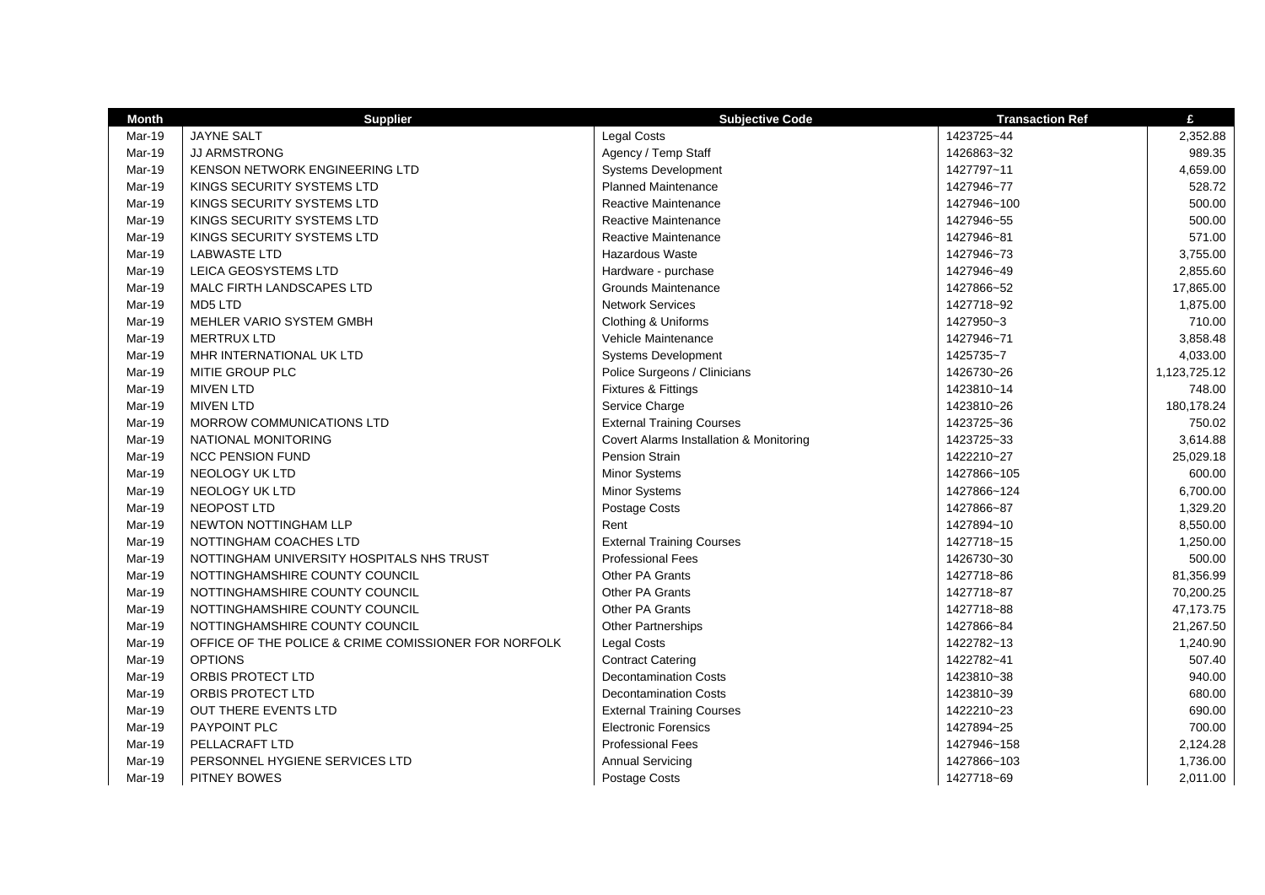| <b>Month</b> | <b>Supplier</b>                                      | <b>Subjective Code</b>                  | <b>Transaction Ref</b> | £            |
|--------------|------------------------------------------------------|-----------------------------------------|------------------------|--------------|
| Mar-19       | <b>JAYNE SALT</b>                                    | Legal Costs                             | 1423725~44             | 2,352.88     |
| Mar-19       | <b>JJ ARMSTRONG</b>                                  | Agency / Temp Staff                     | 1426863~32             | 989.35       |
| Mar-19       | KENSON NETWORK ENGINEERING LTD                       | <b>Systems Development</b>              | 1427797~11             | 4,659.00     |
| Mar-19       | KINGS SECURITY SYSTEMS LTD                           | <b>Planned Maintenance</b>              | 1427946~77             | 528.72       |
| Mar-19       | KINGS SECURITY SYSTEMS LTD                           | Reactive Maintenance                    | 1427946~100            | 500.00       |
| Mar-19       | KINGS SECURITY SYSTEMS LTD                           | Reactive Maintenance                    | 1427946~55             | 500.00       |
| Mar-19       | KINGS SECURITY SYSTEMS LTD                           | Reactive Maintenance                    | 1427946~81             | 571.00       |
| Mar-19       | <b>LABWASTE LTD</b>                                  | <b>Hazardous Waste</b>                  | 1427946~73             | 3,755.00     |
| Mar-19       | LEICA GEOSYSTEMS LTD                                 | Hardware - purchase                     | 1427946~49             | 2,855.60     |
| Mar-19       | MALC FIRTH LANDSCAPES LTD                            | <b>Grounds Maintenance</b>              | 1427866~52             | 17,865.00    |
| Mar-19       | MD5 LTD                                              | <b>Network Services</b>                 | 1427718~92             | 1,875.00     |
| Mar-19       | MEHLER VARIO SYSTEM GMBH                             | Clothing & Uniforms                     | 1427950~3              | 710.00       |
| Mar-19       | <b>MERTRUX LTD</b>                                   | Vehicle Maintenance                     | 1427946~71             | 3,858.48     |
| Mar-19       | MHR INTERNATIONAL UK LTD                             | <b>Systems Development</b>              | 1425735~7              | 4,033.00     |
| Mar-19       | MITIE GROUP PLC                                      | Police Surgeons / Clinicians            | 1426730~26             | 1,123,725.12 |
| Mar-19       | <b>MIVEN LTD</b>                                     | <b>Fixtures &amp; Fittings</b>          | 1423810~14             | 748.00       |
| Mar-19       | <b>MIVEN LTD</b>                                     | Service Charge                          | 1423810~26             | 180,178.24   |
| Mar-19       | MORROW COMMUNICATIONS LTD                            | <b>External Training Courses</b>        | 1423725~36             | 750.02       |
| Mar-19       | NATIONAL MONITORING                                  | Covert Alarms Installation & Monitoring | 1423725~33             | 3,614.88     |
| Mar-19       | <b>NCC PENSION FUND</b>                              | Pension Strain                          | 1422210~27             | 25,029.18    |
| Mar-19       | <b>NEOLOGY UK LTD</b>                                | Minor Systems                           | 1427866~105            | 600.00       |
| Mar-19       | NEOLOGY UK LTD                                       | Minor Systems                           | 1427866~124            | 6,700.00     |
| Mar-19       | NEOPOST LTD                                          | Postage Costs                           | 1427866~87             | 1,329.20     |
| Mar-19       | NEWTON NOTTINGHAM LLP                                | Rent                                    | 1427894~10             | 8,550.00     |
| Mar-19       | NOTTINGHAM COACHES LTD                               | <b>External Training Courses</b>        | 1427718~15             | 1,250.00     |
| Mar-19       | NOTTINGHAM UNIVERSITY HOSPITALS NHS TRUST            | <b>Professional Fees</b>                | 1426730~30             | 500.00       |
| Mar-19       | NOTTINGHAMSHIRE COUNTY COUNCIL                       | Other PA Grants                         | 1427718~86             | 81,356.99    |
| Mar-19       | NOTTINGHAMSHIRE COUNTY COUNCIL                       | Other PA Grants                         | 1427718~87             | 70,200.25    |
| Mar-19       | NOTTINGHAMSHIRE COUNTY COUNCIL                       | Other PA Grants                         | 1427718~88             | 47,173.75    |
| Mar-19       | NOTTINGHAMSHIRE COUNTY COUNCIL                       | Other Partnerships                      | 1427866~84             | 21,267.50    |
| Mar-19       | OFFICE OF THE POLICE & CRIME COMISSIONER FOR NORFOLK | Legal Costs                             | 1422782~13             | 1,240.90     |
| Mar-19       | <b>OPTIONS</b>                                       | <b>Contract Catering</b>                | 1422782~41             | 507.40       |
| Mar-19       | ORBIS PROTECT LTD                                    | <b>Decontamination Costs</b>            | 1423810~38             | 940.00       |
| Mar-19       | ORBIS PROTECT LTD                                    | <b>Decontamination Costs</b>            | 1423810~39             | 680.00       |
| Mar-19       | <b>OUT THERE EVENTS LTD</b>                          | <b>External Training Courses</b>        | 1422210~23             | 690.00       |
| Mar-19       | PAYPOINT PLC                                         | <b>Electronic Forensics</b>             | 1427894~25             | 700.00       |
| Mar-19       | PELLACRAFT LTD                                       | <b>Professional Fees</b>                | 1427946~158            | 2,124.28     |
| Mar-19       | PERSONNEL HYGIENE SERVICES LTD                       | <b>Annual Servicing</b>                 | 1427866~103            | 1,736.00     |
| Mar-19       | <b>PITNEY BOWES</b>                                  | Postage Costs                           | 1427718~69             | 2.011.00     |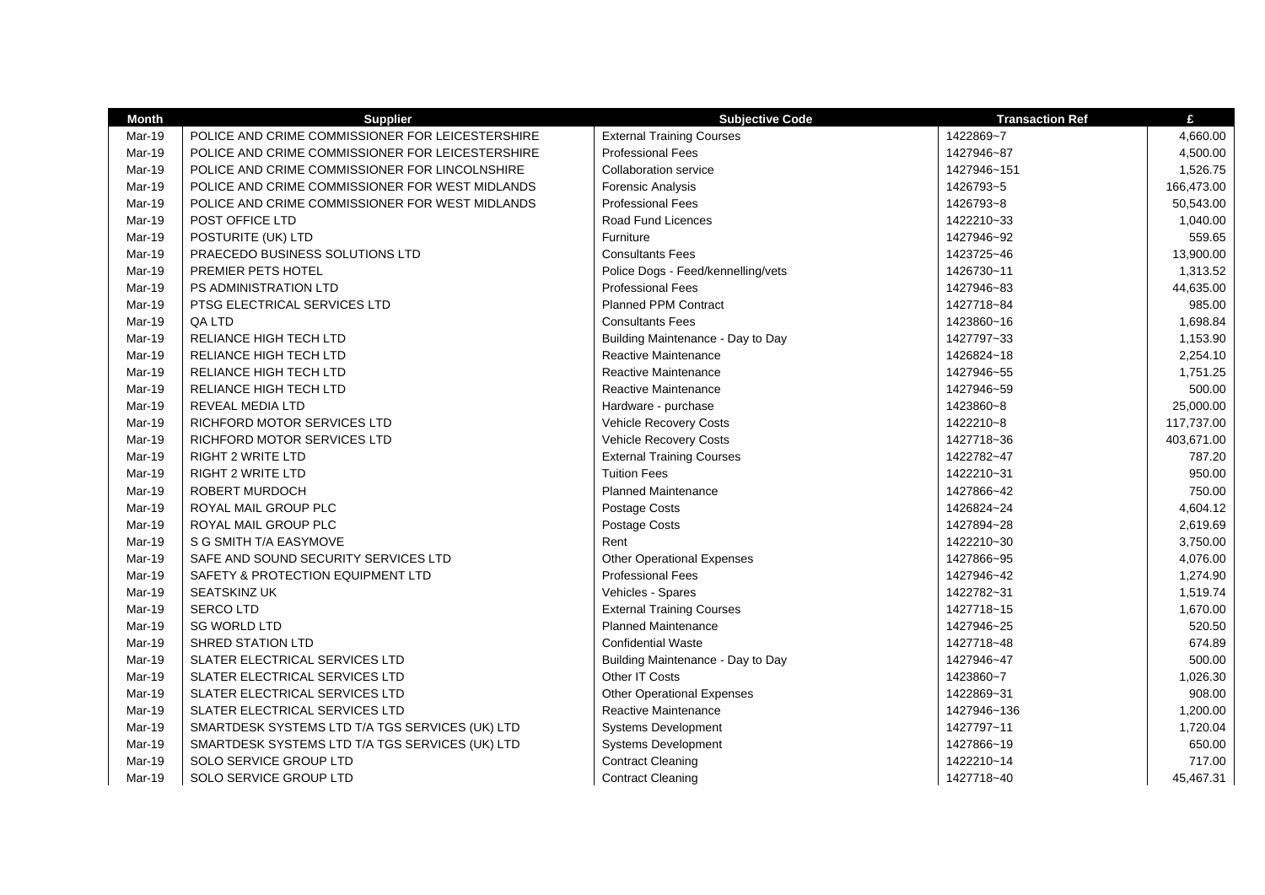| <b>Month</b>  | <b>Supplier</b>                                  | <b>Subjective Code</b>             | <b>Transaction Ref</b> | £          |
|---------------|--------------------------------------------------|------------------------------------|------------------------|------------|
| Mar-19        | POLICE AND CRIME COMMISSIONER FOR LEICESTERSHIRE | <b>External Training Courses</b>   | 1422869~7              | 4,660.00   |
| <b>Mar-19</b> | POLICE AND CRIME COMMISSIONER FOR LEICESTERSHIRE | <b>Professional Fees</b>           | 1427946~87             | 4,500.00   |
| Mar-19        | POLICE AND CRIME COMMISSIONER FOR LINCOLNSHIRE   | Collaboration service              | 1427946~151            | 1,526.75   |
| Mar-19        | POLICE AND CRIME COMMISSIONER FOR WEST MIDLANDS  | <b>Forensic Analysis</b>           | 1426793~5              | 166,473.00 |
| <b>Mar-19</b> | POLICE AND CRIME COMMISSIONER FOR WEST MIDLANDS  | <b>Professional Fees</b>           | 1426793~8              | 50,543.00  |
| <b>Mar-19</b> | POST OFFICE LTD                                  | Road Fund Licences                 | 1422210~33             | 1,040.00   |
| Mar-19        | POSTURITE (UK) LTD                               | Furniture                          | 1427946~92             | 559.65     |
| Mar-19        | PRAECEDO BUSINESS SOLUTIONS LTD                  | <b>Consultants Fees</b>            | 1423725~46             | 13,900.00  |
| Mar-19        | PREMIER PETS HOTEL                               | Police Dogs - Feed/kennelling/vets | 1426730~11             | 1,313.52   |
| Mar-19        | PS ADMINISTRATION LTD                            | <b>Professional Fees</b>           | 1427946~83             | 44,635.00  |
| Mar-19        | PTSG ELECTRICAL SERVICES LTD                     | <b>Planned PPM Contract</b>        | 1427718~84             | 985.00     |
| <b>Mar-19</b> | QA LTD                                           | <b>Consultants Fees</b>            | 1423860~16             | 1,698.84   |
| <b>Mar-19</b> | RELIANCE HIGH TECH LTD                           | Building Maintenance - Day to Day  | 1427797~33             | 1,153.90   |
| Mar-19        | RELIANCE HIGH TECH LTD                           | Reactive Maintenance               | 1426824~18             | 2,254.10   |
| Mar-19        | RELIANCE HIGH TECH LTD                           | Reactive Maintenance               | 1427946~55             | 1,751.25   |
| Mar-19        | RELIANCE HIGH TECH LTD                           | Reactive Maintenance               | 1427946~59             | 500.00     |
| Mar-19        | <b>REVEAL MEDIA LTD</b>                          | Hardware - purchase                | 1423860~8              | 25,000.00  |
| Mar-19        | RICHFORD MOTOR SERVICES LTD                      | Vehicle Recovery Costs             | 1422210~8              | 117,737.00 |
| <b>Mar-19</b> | RICHFORD MOTOR SERVICES LTD                      | Vehicle Recovery Costs             | 1427718~36             | 403,671.00 |
| Mar-19        | <b>RIGHT 2 WRITE LTD</b>                         | <b>External Training Courses</b>   | 1422782~47             | 787.20     |
| Mar-19        | <b>RIGHT 2 WRITE LTD</b>                         | <b>Tuition Fees</b>                | 1422210~31             | 950.00     |
| Mar-19        | ROBERT MURDOCH                                   | <b>Planned Maintenance</b>         | 1427866~42             | 750.00     |
| Mar-19        | ROYAL MAIL GROUP PLC                             | Postage Costs                      | 1426824~24             | 4,604.12   |
| Mar-19        | ROYAL MAIL GROUP PLC                             | Postage Costs                      | 1427894~28             | 2,619.69   |
| Mar-19        | S G SMITH T/A EASYMOVE                           | Rent                               | 1422210~30             | 3,750.00   |
| Mar-19        | SAFE AND SOUND SECURITY SERVICES LTD             | <b>Other Operational Expenses</b>  | 1427866~95             | 4,076.00   |
| Mar-19        | SAFETY & PROTECTION EQUIPMENT LTD                | <b>Professional Fees</b>           | 1427946~42             | 1,274.90   |
| <b>Mar-19</b> | <b>SEATSKINZ UK</b>                              | Vehicles - Spares                  | 1422782~31             | 1,519.74   |
| Mar-19        | <b>SERCOLTD</b>                                  | <b>External Training Courses</b>   | 1427718~15             | 1,670.00   |
| Mar-19        | <b>SG WORLD LTD</b>                              | <b>Planned Maintenance</b>         | 1427946~25             | 520.50     |
| Mar-19        | <b>SHRED STATION LTD</b>                         | <b>Confidential Waste</b>          | 1427718~48             | 674.89     |
| Mar-19        | SLATER ELECTRICAL SERVICES LTD                   | Building Maintenance - Day to Day  | 1427946~47             | 500.00     |
| Mar-19        | SLATER ELECTRICAL SERVICES LTD                   | Other IT Costs                     | 1423860~7              | 1,026.30   |
| Mar-19        | SLATER ELECTRICAL SERVICES LTD                   | <b>Other Operational Expenses</b>  | 1422869~31             | 908.00     |
| <b>Mar-19</b> | SLATER ELECTRICAL SERVICES LTD                   | Reactive Maintenance               | 1427946~136            | 1,200.00   |
| Mar-19        | SMARTDESK SYSTEMS LTD T/A TGS SERVICES (UK) LTD  | <b>Systems Development</b>         | 1427797~11             | 1,720.04   |
| Mar-19        | SMARTDESK SYSTEMS LTD T/A TGS SERVICES (UK) LTD  | Systems Development                | 1427866~19             | 650.00     |
| Mar-19        | SOLO SERVICE GROUP LTD                           | <b>Contract Cleaning</b>           | 1422210~14             | 717.00     |
| Mar-19        | <b>SOLO SERVICE GROUP LTD</b>                    | <b>Contract Cleaning</b>           | 1427718~40             | 45.467.31  |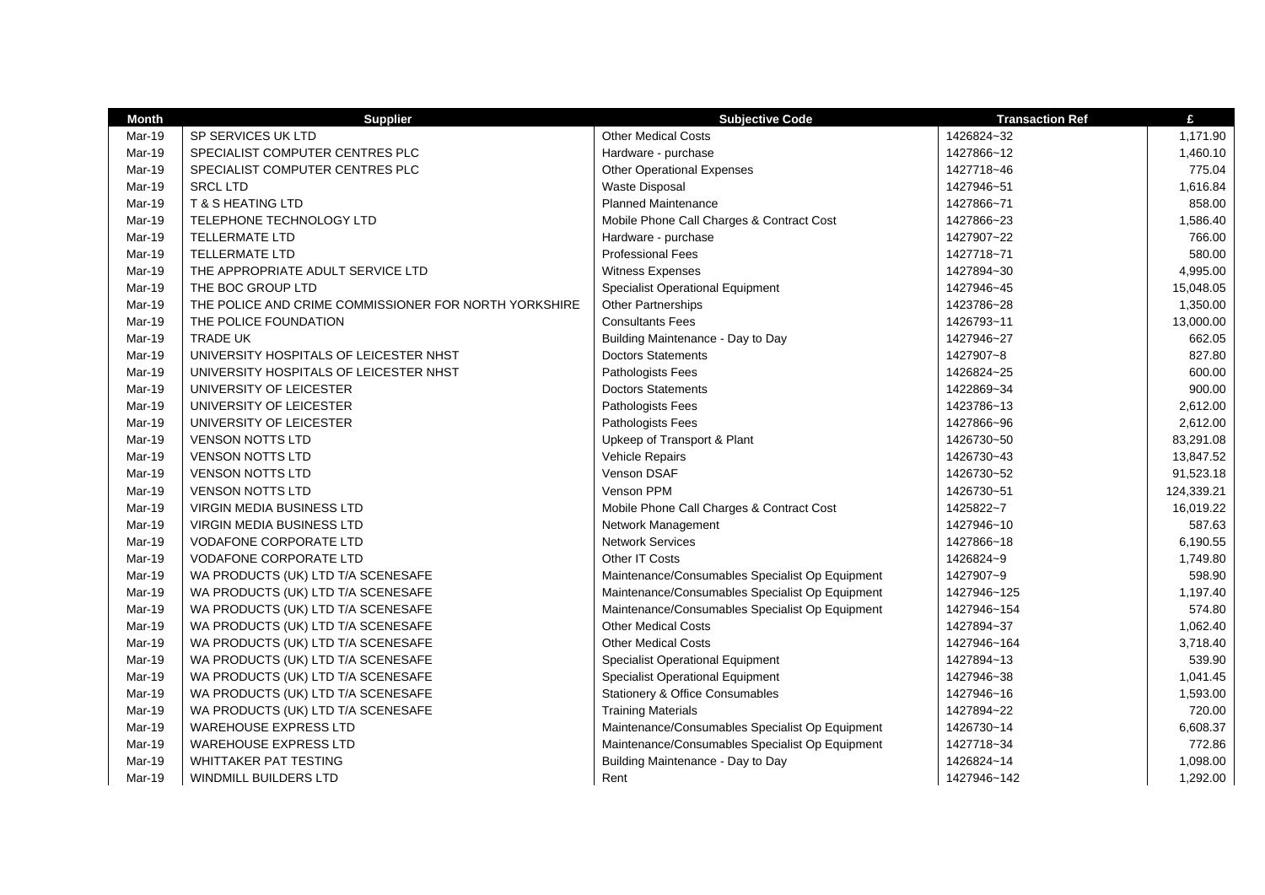| <b>Month</b> | <b>Supplier</b>                                       | <b>Subjective Code</b>                          | <b>Transaction Ref</b> | £          |
|--------------|-------------------------------------------------------|-------------------------------------------------|------------------------|------------|
| Mar-19       | SP SERVICES UK LTD                                    | <b>Other Medical Costs</b>                      | 1426824~32             | 1,171.90   |
| Mar-19       | SPECIALIST COMPUTER CENTRES PLC                       | Hardware - purchase                             | 1427866~12             | 1,460.10   |
| Mar-19       | SPECIALIST COMPUTER CENTRES PLC                       | <b>Other Operational Expenses</b>               | 1427718~46             | 775.04     |
| Mar-19       | <b>SRCL LTD</b>                                       | <b>Waste Disposal</b>                           | 1427946~51             | 1,616.84   |
| Mar-19       | <b>T &amp; S HEATING LTD</b>                          | <b>Planned Maintenance</b>                      | 1427866~71             | 858.00     |
| Mar-19       | TELEPHONE TECHNOLOGY LTD                              | Mobile Phone Call Charges & Contract Cost       | 1427866~23             | 1,586.40   |
| Mar-19       | <b>TELLERMATE LTD</b>                                 | Hardware - purchase                             | 1427907~22             | 766.00     |
| Mar-19       | <b>TELLERMATE LTD</b>                                 | <b>Professional Fees</b>                        | 1427718~71             | 580.00     |
| Mar-19       | THE APPROPRIATE ADULT SERVICE LTD                     | Witness Expenses                                | 1427894~30             | 4,995.00   |
| Mar-19       | THE BOC GROUP LTD                                     | <b>Specialist Operational Equipment</b>         | 1427946~45             | 15,048.05  |
| Mar-19       | THE POLICE AND CRIME COMMISSIONER FOR NORTH YORKSHIRE | Other Partnerships                              | 1423786~28             | 1,350.00   |
| Mar-19       | THE POLICE FOUNDATION                                 | <b>Consultants Fees</b>                         | 1426793~11             | 13,000.00  |
| Mar-19       | <b>TRADE UK</b>                                       | Building Maintenance - Day to Day               | 1427946~27             | 662.05     |
| Mar-19       | UNIVERSITY HOSPITALS OF LEICESTER NHST                | <b>Doctors Statements</b>                       | 1427907~8              | 827.80     |
| Mar-19       | UNIVERSITY HOSPITALS OF LEICESTER NHST                | Pathologists Fees                               | 1426824~25             | 600.00     |
| Mar-19       | UNIVERSITY OF LEICESTER                               | <b>Doctors Statements</b>                       | 1422869~34             | 900.00     |
| Mar-19       | UNIVERSITY OF LEICESTER                               | Pathologists Fees                               | 1423786~13             | 2,612.00   |
| Mar-19       | UNIVERSITY OF LEICESTER                               | Pathologists Fees                               | 1427866~96             | 2,612.00   |
| Mar-19       | <b>VENSON NOTTS LTD</b>                               | Upkeep of Transport & Plant                     | 1426730~50             | 83,291.08  |
| Mar-19       | <b>VENSON NOTTS LTD</b>                               | Vehicle Repairs                                 | 1426730~43             | 13,847.52  |
| Mar-19       | <b>VENSON NOTTS LTD</b>                               | <b>Venson DSAF</b>                              | 1426730~52             | 91,523.18  |
| Mar-19       | <b>VENSON NOTTS LTD</b>                               | Venson PPM                                      | 1426730~51             | 124,339.21 |
| Mar-19       | <b>VIRGIN MEDIA BUSINESS LTD</b>                      | Mobile Phone Call Charges & Contract Cost       | 1425822~7              | 16,019.22  |
| Mar-19       | VIRGIN MEDIA BUSINESS LTD                             | Network Management                              | 1427946~10             | 587.63     |
| Mar-19       | <b>VODAFONE CORPORATE LTD</b>                         | <b>Network Services</b>                         | 1427866~18             | 6,190.55   |
| Mar-19       | <b>VODAFONE CORPORATE LTD</b>                         | Other IT Costs                                  | 1426824~9              | 1,749.80   |
| Mar-19       | WA PRODUCTS (UK) LTD T/A SCENESAFE                    | Maintenance/Consumables Specialist Op Equipment | 1427907~9              | 598.90     |
| Mar-19       | WA PRODUCTS (UK) LTD T/A SCENESAFE                    | Maintenance/Consumables Specialist Op Equipment | 1427946~125            | 1,197.40   |
| Mar-19       | WA PRODUCTS (UK) LTD T/A SCENESAFE                    | Maintenance/Consumables Specialist Op Equipment | 1427946~154            | 574.80     |
| Mar-19       | WA PRODUCTS (UK) LTD T/A SCENESAFE                    | <b>Other Medical Costs</b>                      | 1427894~37             | 1,062.40   |
| Mar-19       | WA PRODUCTS (UK) LTD T/A SCENESAFE                    | <b>Other Medical Costs</b>                      | 1427946~164            | 3,718.40   |
| Mar-19       | WA PRODUCTS (UK) LTD T/A SCENESAFE                    | Specialist Operational Equipment                | 1427894~13             | 539.90     |
| Mar-19       | WA PRODUCTS (UK) LTD T/A SCENESAFE                    | <b>Specialist Operational Equipment</b>         | 1427946~38             | 1,041.45   |
| Mar-19       | WA PRODUCTS (UK) LTD T/A SCENESAFE                    | Stationery & Office Consumables                 | 1427946~16             | 1,593.00   |
| Mar-19       | WA PRODUCTS (UK) LTD T/A SCENESAFE                    | <b>Training Materials</b>                       | 1427894~22             | 720.00     |
| Mar-19       | <b>WAREHOUSE EXPRESS LTD</b>                          | Maintenance/Consumables Specialist Op Equipment | 1426730~14             | 6,608.37   |
| Mar-19       | <b>WAREHOUSE EXPRESS LTD</b>                          | Maintenance/Consumables Specialist Op Equipment | 1427718~34             | 772.86     |
| Mar-19       | <b>WHITTAKER PAT TESTING</b>                          | Building Maintenance - Day to Day               | 1426824~14             | 1,098.00   |
| Mar-19       | <b>WINDMILL BUILDERS LTD</b>                          | Rent                                            | 1427946~142            | 1.292.00   |